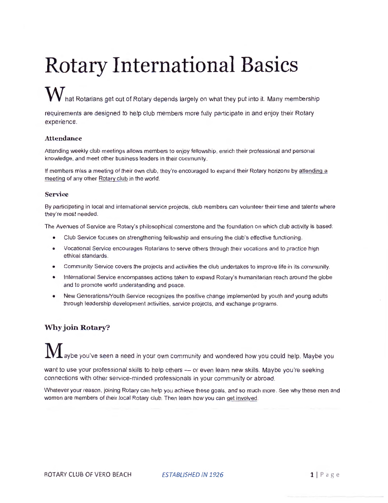# **Rotary International Basics**

# $\bf W$  hat Rotarians get out of Rotary depends largely on what they put into it. Many membership

requirements are designed to help club members more fully participate in and enjoy their Rotary experience.

#### **Attendance**

Attending weekly club meetings allows members to enjoy fellowship, enrich their professional and personal knowledge, and meet other business leaders in their community.

If members miss a meeting of their own club, they're encouraged to expand their Rotary horizons by attending a meeting of any other Rotary club in the world.

#### **Service**

By participating in local and international service projects , club members can volunteer their time and talents where they're most needed.

The Avenues of Service are Rotary's philosophical cornerstone and the foundation on which club activity is based :

- Club Service focuses on strengthening fellowship and ensuring the club's effective functioning .
- Vocational Service encourages Rotarians to serve others through their vocations and to practice high ethical standards.
- Community Service covers the projects and activities the club undertakes to improve life in its community.
- International Service encompasses actions taken to expand Rotary's humanitarian reach around the globe and to promote world understanding and peace.
- New Generations/Youth Service recognizes the positive change implemented by youth and young adults through leadership development activities, service projects, and exchange programs.

## **Why join Rotary?**

aybe you've seen a need in your own community and wondered how you could help. Maybe you

want to use your professional skills to help others - or even learn new skills. Maybe you're seeking connections with other service-minded professionals in your community or abroad.

Whatever your reason, joining Rotary can help you achieve these goals, and so much more. See why these men and women are members of their local Rotary club. Then learn how you can get involved.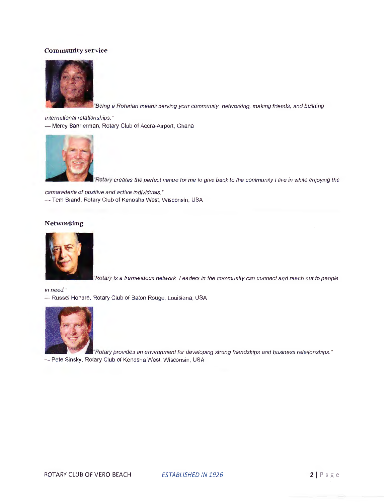#### **Community service**



"Being a Rotarian means serving your community, networking, making friends, and building

international relationships." - Mercy Bannerman, Rotary Club of Accra-Airport, Ghana



"Rotary creates the perfect venue for me to give back to the community I live in while enjoying the

camaraderie of positive and active individuals." -Tom Brand, Rotary Club of Kenosha West, Wisconsin, USA

#### **Networking**



"Rotary is a tremendous network. Leaders in the community can connect and reach out to people

in need. "

- Russel Honoré, Rotary Club of Baton Rouge, Louisiana, USA



"Rotary provides an environment for developing strong friendships and business relationships." - Pete Sinsky, Rotary Club of Kenosha West, Wisconsin, USA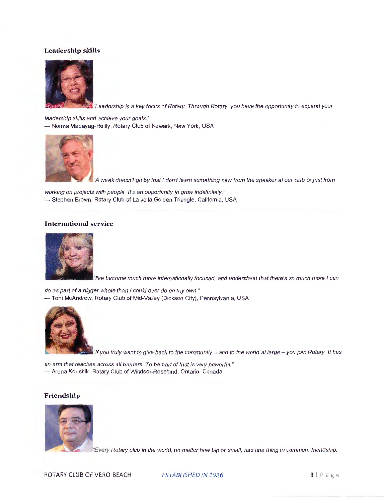#### **Leadership skills**



teadership is a key focus of Rotary. Through Rotary, you have the opportunity to expand your

leadership skills and achieve your goals." - Norma Madayag-Reilly, Rotary Club of Newark, New York, USA



"A week doesn't go by that I don't learn something new from the speaker at our club or just from

working on projects with people. It's an opportunity to grow indefinitely." - Stephen Brown, Rotary Club of La Jolla Golden Triangle, California, USA

#### **International service**



become much more internationally focused, and understand that there's so much more I can

do as part of a bigger whole than I could ever do on my own." -Toni McAndrew, Rotary Club of Mid-Valley (Dickson City), Pennsylvania, USA



 $\blacksquare$ "If you truly want to give back to the community – and to the world at large – you join Rotary. It has

an arm that reaches across all barriers. To be part of that is very powerful." - Aruna Koushik, Rotary Club of Windsor-Roseland, Ontario, Canada

#### **Friendship**



"Every Rotary club in the world, no matter how big or small, has one thing in common: friendship.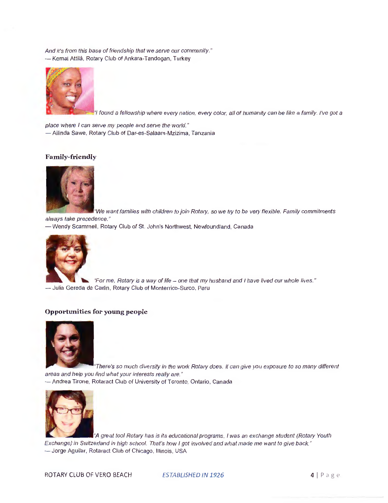And it's from this base of friendship that we serve our community." - Kemal Attilâ, Rotary Club of Ankara-Tandogan, Turkey



found a fellowship where every nation, every color, all of humanity can be like a family. I've got a

place where I can serve my people and serve the world." - Ailinda Sawe, Rotary Club of Dar-es-Salaam-Mzizima, Tanzania

#### **Family-friendly**



We want families with children to join Rotary, so we try to be very flexible. Family commitments always take precedence."

- Wendy Scammell, Rotary Club of St. John's Northwest, Newfoundland, Canada



"For me, Rotary is a way of life - one that my husband and I have lived our whole lives." - Julia Gereda de Carlin, Rotary Club of Monterrico-Surco, Peru

#### **Opportunities for young people**



"There's so much diversity in the work Rotary does. It can give you exposure to so many different areas and help you find what your interests really are."

- Andrea Tirone, Rotaract Club of University of Toronto, Ontario, Canada



"A great tool Rotary has is its educational programs. I was an exchange student (Rotary Youth Exchange) in Switzerland in high school. That's how I got involved and what made me want to give back." - Jorge Aguilar, Rotaract Club of Chicago, Illinois, USA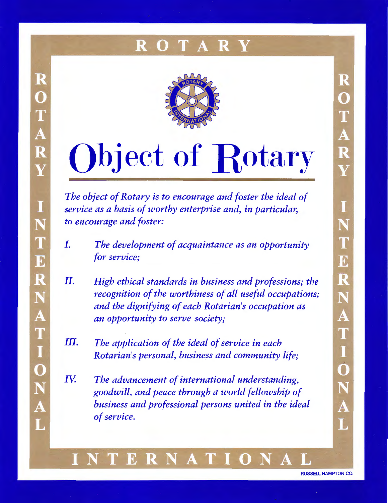#### R A R Y



R

 $\mathbf{O}$ 

T<br>A

R

Y

I

N

T

E

R

N

A

TION

A

 $\overline{\mathbf{L}}$ 

# **Object of Rotary**

*The object of Rotary is to encourage and foster the ideal of service as a basis of worthy enterprise and, in particular, to encourage and foster:* 

- *I. The development of acquaintance as an opportunity for service;*
- *II. High ethical standards in business and professions; the recognition of the worthiness of all useful occupations; and the dignifying of each Rotarian's occupation as an opportunity to serve society;*
- *III.* The application of the ideal of service in each *Rotarian's personal, business and community life;*
- IY. *The advancement of international understanding, goodwill, and peace through a world fellowship of business and professional persons united in the ideal of service.*

## ERN AT

RUSSELL-HAMPTON CO.